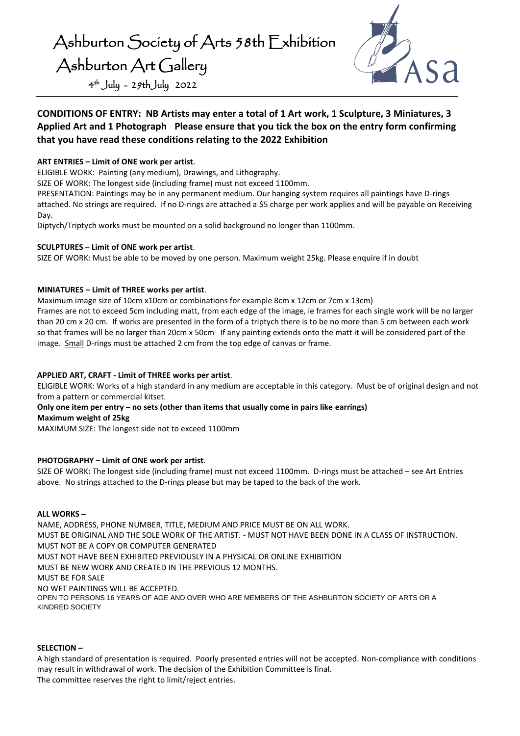

## **CONDITIONS OF ENTRY: NB Artists may enter a total of 1 Art work, 1 Sculpture, 3 Miniatures, 3 Applied Art and 1 Photograph Please ensure that you tick the box on the entry form confirming that you have read these conditions relating to the 2022 Exhibition**

## **ART ENTRIES – Limit of ONE work per artist**.

ELIGIBLE WORK: Painting (any medium), Drawings, and Lithography.

SIZE OF WORK: The longest side (including frame) must not exceed 1100mm.

PRESENTATION: Paintings may be in any permanent medium. Our hanging system requires all paintings have D-rings attached. No strings are required. If no D-rings are attached a \$5 charge per work applies and will be payable on Receiving Day.

Diptych/Triptych works must be mounted on a solid background no longer than 1100mm.

## **SCULPTURES** – **Limit of ONE work per artist**.

SIZE OF WORK: Must be able to be moved by one person. Maximum weight 25kg. Please enquire if in doubt

## **MINIATURES – Limit of THREE works per artist**.

Maximum image size of 10cm x10cm or combinations for example 8cm x 12cm or 7cm x 13cm)

Frames are not to exceed 5cm including matt, from each edge of the image, ie frames for each single work will be no larger than 20 cm x 20 cm. If works are presented in the form of a triptych there is to be no more than 5 cm between each work so that frames will be no larger than 20cm x 50cm If any painting extends onto the matt it will be considered part of the image. Small D-rings must be attached 2 cm from the top edge of canvas or frame.

## **APPLIED ART, CRAFT - Limit of THREE works per artist**.

ELIGIBLE WORK: Works of a high standard in any medium are acceptable in this category. Must be of original design and not from a pattern or commercial kitset.

#### **Only one item per entry – no sets (other than items that usually come in pairs like earrings)**

**Maximum weight of 25kg** 

MAXIMUM SIZE: The longest side not to exceed 1100mm

## **PHOTOGRAPHY – Limit of ONE work per artist**.

SIZE OF WORK: The longest side (including frame) must not exceed 1100mm. D-rings must be attached – see Art Entries above. No strings attached to the D-rings please but may be taped to the back of the work.

#### **ALL WORKS –**

NAME, ADDRESS, PHONE NUMBER, TITLE, MEDIUM AND PRICE MUST BE ON ALL WORK. MUST BE ORIGINAL AND THE SOLE WORK OF THE ARTIST. - MUST NOT HAVE BEEN DONE IN A CLASS OF INSTRUCTION. MUST NOT BE A COPY OR COMPUTER GENERATED MUST NOT HAVE BEEN EXHIBITED PREVIOUSLY IN A PHYSICAL OR ONLINE EXHIBITION MUST BE NEW WORK AND CREATED IN THE PREVIOUS 12 MONTHS. MUST BE FOR SALE NO WET PAINTINGS WILL BE ACCEPTED. OPEN TO PERSONS 16 YEARS OF AGE AND OVER WHO ARE MEMBERS OF THE ASHBURTON SOCIETY OF ARTS OR A KINDRED SOCIETY

#### **SELECTION –**

A high standard of presentation is required. Poorly presented entries will not be accepted. Non-compliance with conditions may result in withdrawal of work. The decision of the Exhibition Committee is final. The committee reserves the right to limit/reject entries.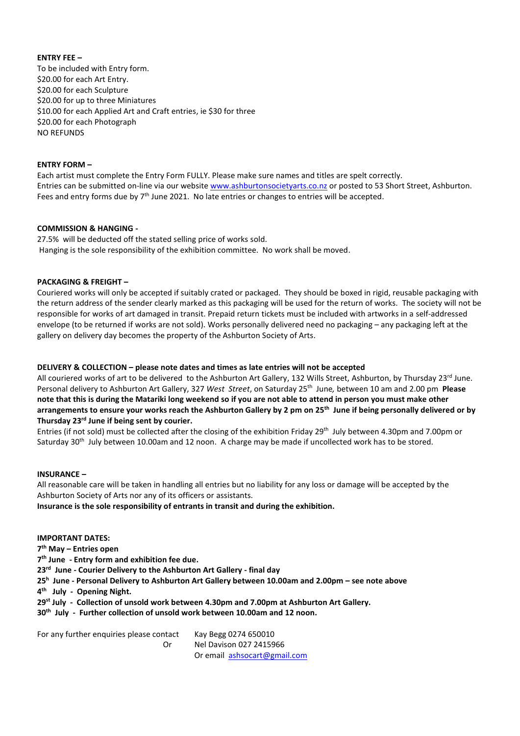#### **ENTRY FEE –**

To be included with Entry form. \$20.00 for each Art Entry. \$20.00 for each Sculpture \$20.00 for up to three Miniatures \$10.00 for each Applied Art and Craft entries, ie \$30 for three \$20.00 for each Photograph NO REFUNDS

#### **ENTRY FORM –**

Each artist must complete the Entry Form FULLY. Please make sure names and titles are spelt correctly. Entries can be submitted on-line via our website [www.ashburtonsocietyarts.co.nz](http://www.ashburtonsocietyarts.co.nz/) or posted to 53 Short Street, Ashburton. Fees and entry forms due by  $7<sup>th</sup>$  June 2021. No late entries or changes to entries will be accepted.

#### **COMMISSION & HANGING -**

27.5% will be deducted off the stated selling price of works sold. Hanging is the sole responsibility of the exhibition committee. No work shall be moved.

#### **PACKAGING & FREIGHT –**

Couriered works will only be accepted if suitably crated or packaged. They should be boxed in rigid, reusable packaging with the return address of the sender clearly marked as this packaging will be used for the return of works. The society will not be responsible for works of art damaged in transit. Prepaid return tickets must be included with artworks in a self-addressed envelope (to be returned if works are not sold). Works personally delivered need no packaging – any packaging left at the gallery on delivery day becomes the property of the Ashburton Society of Arts.

#### **DELIVERY & COLLECTION – please note dates and times as late entries will not be accepted**

All couriered works of art to be delivered to the Ashburton Art Gallery, 132 Wills Street, Ashburton, by Thursday 23rd June. Personal delivery to Ashburton Art Gallery, 327 *West Street*, on Saturday 25 th June*,* between 10 am and 2.00 pm **Please note that this is during the Matariki long weekend so if you are not able to attend in person you must make other arrangements to ensure your works reach the Ashburton Gallery by 2 pm on 25th June if being personally delivered or by Thursday 23rd June if being sent by courier.**

Entries (if not sold) must be collected after the closing of the exhibition Friday 29th July between 4.30pm and 7.00pm or Saturday 30<sup>th</sup> July between 10.00am and 12 noon. A charge may be made if uncollected work has to be stored.

#### **INSURANCE –**

All reasonable care will be taken in handling all entries but no liability for any loss or damage will be accepted by the Ashburton Society of Arts nor any of its officers or assistants.

**Insurance is the sole responsibility of entrants in transit and during the exhibition.**

#### **IMPORTANT DATES:**

**7 th May – Entries open**

**7 th June - Entry form and exhibition fee due.**

**23 rd June - Courier Delivery to the Ashburton Art Gallery - final day**

**25 h June - Personal Delivery to Ashburton Art Gallery between 10.00am and 2.00pm – see note above**

**4 th July - Opening Night.**

**29st July - Collection of unsold work between 4.30pm and 7.00pm at Ashburton Art Gallery.**

**30 th July - Further collection of unsold work between 10.00am and 12 noon.** 

For any further enquiries please contact Kay Begg 0274 650010 Or Nel Davison 027 2415966 Or email [ashsocart@gmail.com](mailto:ashsocart@gmail.com)